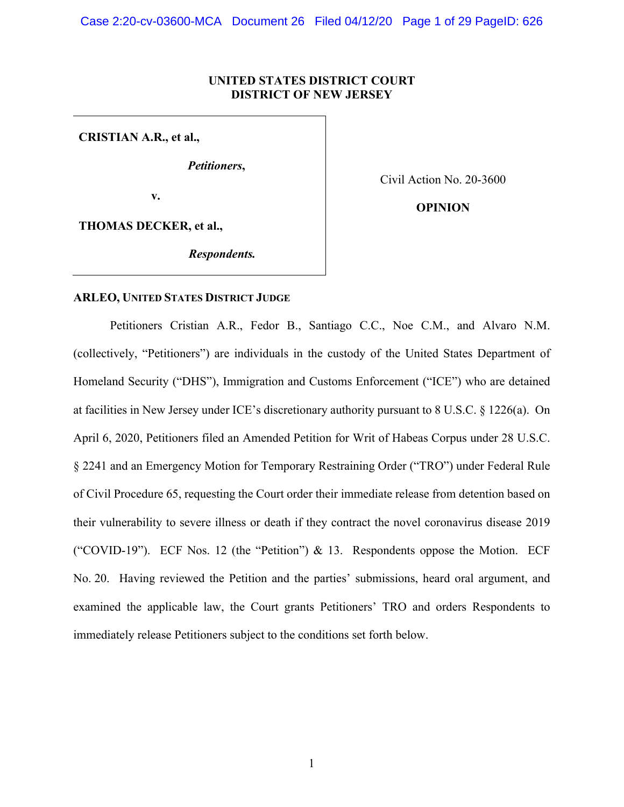# **UNITED STATES DISTRICT COURT DISTRICT OF NEW JERSEY**

**CRISTIAN A.R., et al.,**

*Petitioners***,**

**v.**

Civil Action No. 20-3600

**OPINION**

**THOMAS DECKER, et al.,**

*Respondents.*

# **ARLEO, UNITED STATES DISTRICT JUDGE**

Petitioners Cristian A.R., Fedor B., Santiago C.C., Noe C.M., and Alvaro N.M. (collectively, "Petitioners") are individuals in the custody of the United States Department of Homeland Security ("DHS"), Immigration and Customs Enforcement ("ICE") who are detained at facilities in New Jersey under ICE's discretionary authority pursuant to 8 U.S.C. § 1226(a). On April 6, 2020, Petitioners filed an Amended Petition for Writ of Habeas Corpus under 28 U.S.C. § 2241 and an Emergency Motion for Temporary Restraining Order ("TRO") under Federal Rule of Civil Procedure 65, requesting the Court order their immediate release from detention based on their vulnerability to severe illness or death if they contract the novel coronavirus disease 2019 ("COVID-19"). ECF Nos. 12 (the "Petition")  $\&$  13. Respondents oppose the Motion. ECF No. 20. Having reviewed the Petition and the parties' submissions, heard oral argument, and examined the applicable law, the Court grants Petitioners' TRO and orders Respondents to immediately release Petitioners subject to the conditions set forth below.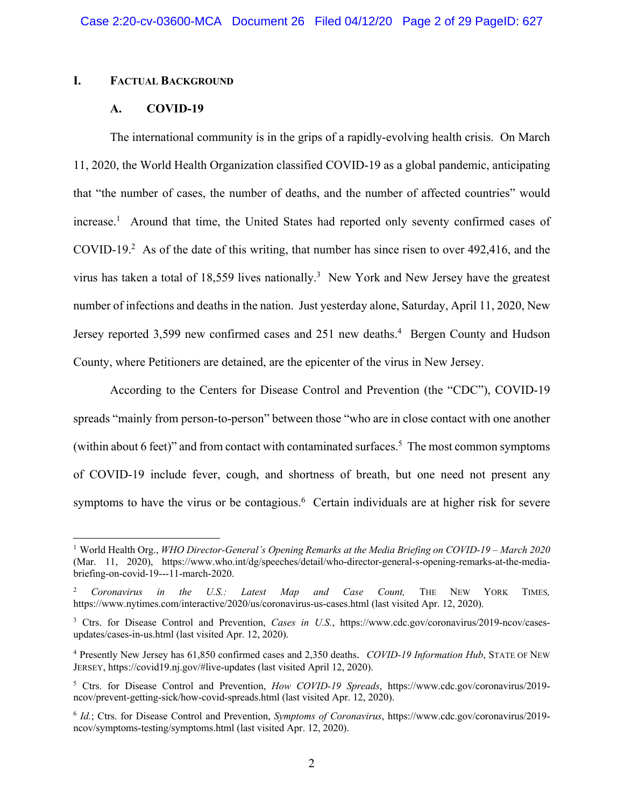## **I. FACTUAL BACKGROUND**

## **A. COVID-19**

The international community is in the grips of a rapidly-evolving health crisis. On March 11, 2020, the World Health Organization classified COVID-19 as a global pandemic, anticipating that "the number of cases, the number of deaths, and the number of affected countries" would increase.<sup>1</sup> Around that time, the United States had reported only seventy confirmed cases of COVID-19. 2 As of the date of this writing, that number has since risen to over 492,416, and the virus has taken a total of 18,559 lives nationally.<sup>3</sup> New York and New Jersey have the greatest number of infections and deaths in the nation. Just yesterday alone, Saturday, April 11, 2020, New Jersey reported 3,599 new confirmed cases and 251 new deaths. 4 Bergen County and Hudson County, where Petitioners are detained, are the epicenter of the virus in New Jersey.

According to the Centers for Disease Control and Prevention (the "CDC"), COVID-19 spreads "mainly from person-to-person" between those "who are in close contact with one another (within about 6 feet)" and from contact with contaminated surfaces.<sup>5</sup> The most common symptoms of COVID-19 include fever, cough, and shortness of breath, but one need not present any symptoms to have the virus or be contagious.<sup>6</sup> Certain individuals are at higher risk for severe

 <sup>1</sup> World Health Org., *WHO Director-General's Opening Remarks at the Media Briefing on COVID-19 – March 2020* (Mar. 11, 2020), https://www.who.int/dg/speeches/detail/who-director-general-s-opening-remarks-at-the-mediabriefing-on-covid-19---11-march-2020.

<sup>2</sup> *Coronavirus in the U.S.: Latest Map and Case Count,* THE NEW YORK TIMES*,*  https://www.nytimes.com/interactive/2020/us/coronavirus-us-cases.html (last visited Apr. 12, 2020).

<sup>&</sup>lt;sup>3</sup> Ctrs. for Disease Control and Prevention, *Cases in U.S.*, https://www.cdc.gov/coronavirus/2019-ncov/casesupdates/cases-in-us.html (last visited Apr. 12, 2020).

<sup>4</sup> Presently New Jersey has 61,850 confirmed cases and 2,350 deaths. *COVID-19 Information Hub*, STATE OF NEW JERSEY, https://covid19.nj.gov/#live-updates (last visited April 12, 2020).

<sup>5</sup> Ctrs. for Disease Control and Prevention, *How COVID-19 Spreads*, https://www.cdc.gov/coronavirus/2019 ncov/prevent-getting-sick/how-covid-spreads.html (last visited Apr. 12, 2020).

<sup>6</sup> *Id.*; Ctrs. for Disease Control and Prevention, *Symptoms of Coronavirus*, https://www.cdc.gov/coronavirus/2019 ncov/symptoms-testing/symptoms.html (last visited Apr. 12, 2020).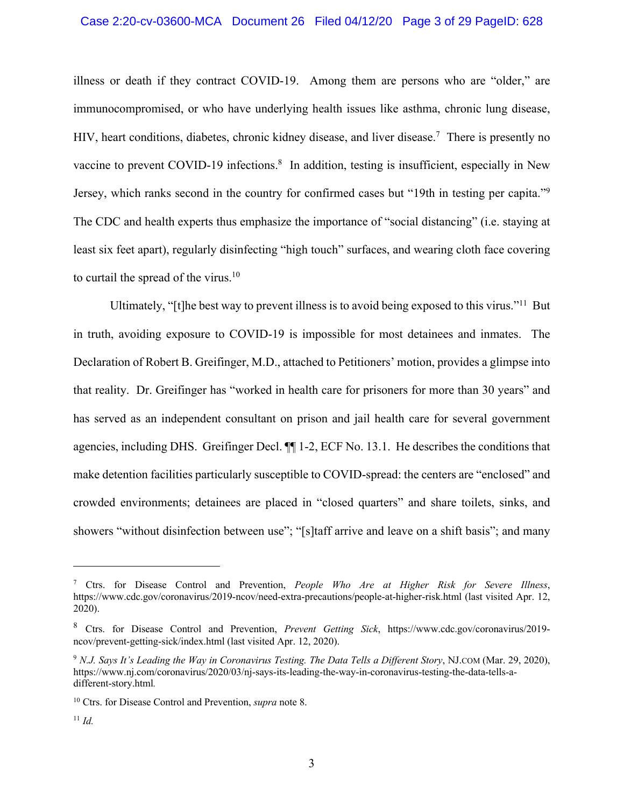# Case 2:20-cv-03600-MCA Document 26 Filed 04/12/20 Page 3 of 29 PageID: 628

illness or death if they contract COVID-19. Among them are persons who are "older," are immunocompromised, or who have underlying health issues like asthma, chronic lung disease, HIV, heart conditions, diabetes, chronic kidney disease, and liver disease.<sup>7</sup> There is presently no vaccine to prevent COVID-19 infections.<sup>8</sup> In addition, testing is insufficient, especially in New Jersey, which ranks second in the country for confirmed cases but "19th in testing per capita."<sup>9</sup> The CDC and health experts thus emphasize the importance of "social distancing" (i.e. staying at least six feet apart), regularly disinfecting "high touch" surfaces, and wearing cloth face covering to curtail the spread of the virus.<sup>10</sup>

Ultimately, "[t]he best way to prevent illness is to avoid being exposed to this virus."11 But in truth, avoiding exposure to COVID-19 is impossible for most detainees and inmates. The Declaration of Robert B. Greifinger, M.D., attached to Petitioners' motion, provides a glimpse into that reality. Dr. Greifinger has "worked in health care for prisoners for more than 30 years" and has served as an independent consultant on prison and jail health care for several government agencies, including DHS. Greifinger Decl. ¶¶ 1-2, ECF No. 13.1. He describes the conditions that make detention facilities particularly susceptible to COVID-spread: the centers are "enclosed" and crowded environments; detainees are placed in "closed quarters" and share toilets, sinks, and showers "without disinfection between use"; "[s]taff arrive and leave on a shift basis"; and many

 $\overline{a}$ 

<sup>7</sup> Ctrs. for Disease Control and Prevention, *People Who Are at Higher Risk for Severe Illness*, https://www.cdc.gov/coronavirus/2019-ncov/need-extra-precautions/people-at-higher-risk.html (last visited Apr. 12, 2020).

<sup>&</sup>lt;sup>8</sup> Ctrs. for Disease Control and Prevention, *Prevent Getting Sick*, https://www.cdc.gov/coronavirus/2019ncov/prevent-getting-sick/index.html (last visited Apr. 12, 2020).

<sup>9</sup> *N.J. Says It's Leading the Way in Coronavirus Testing. The Data Tells a Different Story*, NJ.COM (Mar. 29, 2020), https://www.nj.com/coronavirus/2020/03/nj-says-its-leading-the-way-in-coronavirus-testing-the-data-tells-adifferent-story.html*.* 

<sup>10</sup> Ctrs. for Disease Control and Prevention, *supra* note 8.

<sup>11</sup> *Id.*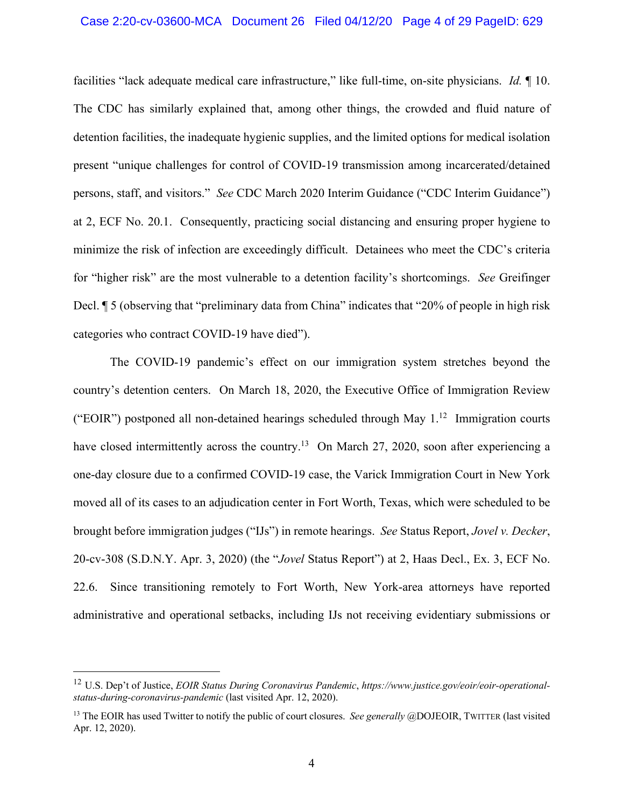#### Case 2:20-cv-03600-MCA Document 26 Filed 04/12/20 Page 4 of 29 PageID: 629

facilities "lack adequate medical care infrastructure," like full-time, on-site physicians. *Id.* ¶ 10. The CDC has similarly explained that, among other things, the crowded and fluid nature of detention facilities, the inadequate hygienic supplies, and the limited options for medical isolation present "unique challenges for control of COVID-19 transmission among incarcerated/detained persons, staff, and visitors." *See* CDC March 2020 Interim Guidance ("CDC Interim Guidance") at 2, ECF No. 20.1. Consequently, practicing social distancing and ensuring proper hygiene to minimize the risk of infection are exceedingly difficult. Detainees who meet the CDC's criteria for "higher risk" are the most vulnerable to a detention facility's shortcomings. *See* Greifinger Decl. ¶ 5 (observing that "preliminary data from China" indicates that "20% of people in high risk categories who contract COVID-19 have died").

The COVID-19 pandemic's effect on our immigration system stretches beyond the country's detention centers. On March 18, 2020, the Executive Office of Immigration Review ("EOIR") postponed all non-detained hearings scheduled through May  $1<sup>12</sup>$  Immigration courts have closed intermittently across the country.<sup>13</sup> On March 27, 2020, soon after experiencing a one-day closure due to a confirmed COVID-19 case, the Varick Immigration Court in New York moved all of its cases to an adjudication center in Fort Worth, Texas, which were scheduled to be brought before immigration judges ("IJs") in remote hearings. *See* Status Report, *Jovel v. Decker*, 20-cv-308 (S.D.N.Y. Apr. 3, 2020) (the "*Jovel* Status Report") at 2, Haas Decl., Ex. 3, ECF No. 22.6. Since transitioning remotely to Fort Worth, New York-area attorneys have reported administrative and operational setbacks, including IJs not receiving evidentiary submissions or

 <sup>12</sup> U.S. Dep't of Justice, *EOIR Status During Coronavirus Pandemic*, *https://www.justice.gov/eoir/eoir-operationalstatus-during-coronavirus-pandemic* (last visited Apr. 12, 2020).

<sup>&</sup>lt;sup>13</sup> The EOIR has used Twitter to notify the public of court closures. *See generally @DOJEOIR*, TWITTER (last visited Apr. 12, 2020).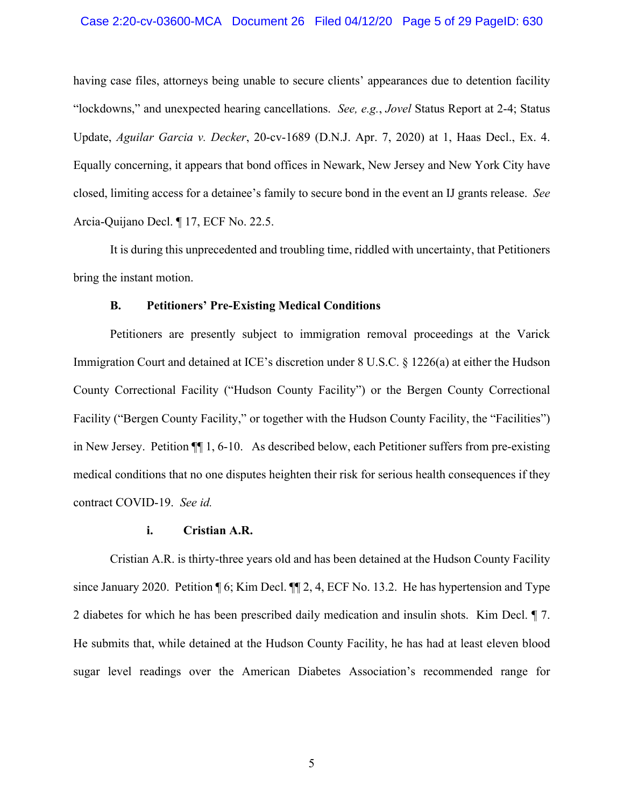#### Case 2:20-cv-03600-MCA Document 26 Filed 04/12/20 Page 5 of 29 PageID: 630

having case files, attorneys being unable to secure clients' appearances due to detention facility "lockdowns," and unexpected hearing cancellations. *See, e.g.*, *Jovel* Status Report at 2-4; Status Update, *Aguilar Garcia v. Decker*, 20-cv-1689 (D.N.J. Apr. 7, 2020) at 1, Haas Decl., Ex. 4. Equally concerning, it appears that bond offices in Newark, New Jersey and New York City have closed, limiting access for a detainee's family to secure bond in the event an IJ grants release. *See* Arcia-Quijano Decl. ¶ 17, ECF No. 22.5.

It is during this unprecedented and troubling time, riddled with uncertainty, that Petitioners bring the instant motion.

#### **B. Petitioners' Pre-Existing Medical Conditions**

Petitioners are presently subject to immigration removal proceedings at the Varick Immigration Court and detained at ICE's discretion under 8 U.S.C. § 1226(a) at either the Hudson County Correctional Facility ("Hudson County Facility") or the Bergen County Correctional Facility ("Bergen County Facility," or together with the Hudson County Facility, the "Facilities") in New Jersey. Petition ¶¶ 1, 6-10. As described below, each Petitioner suffers from pre-existing medical conditions that no one disputes heighten their risk for serious health consequences if they contract COVID-19. *See id.*

#### **i. Cristian A.R.**

Cristian A.R. is thirty-three years old and has been detained at the Hudson County Facility since January 2020. Petition ¶ 6; Kim Decl. ¶¶ 2, 4, ECF No. 13.2. He has hypertension and Type 2 diabetes for which he has been prescribed daily medication and insulin shots. Kim Decl. ¶ 7. He submits that, while detained at the Hudson County Facility, he has had at least eleven blood sugar level readings over the American Diabetes Association's recommended range for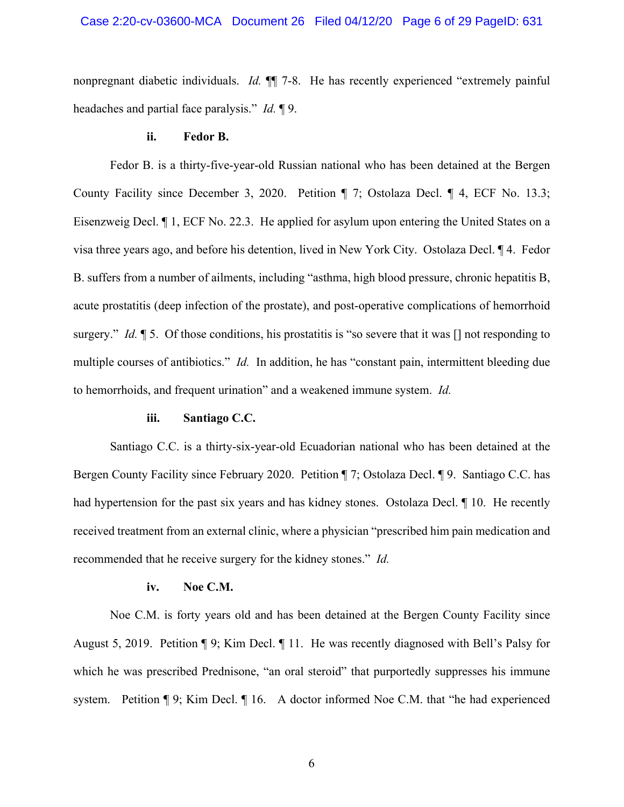nonpregnant diabetic individuals. *Id.* ¶¶ 7-8. He has recently experienced "extremely painful headaches and partial face paralysis." *Id.* ¶ 9.

#### **ii. Fedor B.**

Fedor B. is a thirty-five-year-old Russian national who has been detained at the Bergen County Facility since December 3, 2020. Petition ¶ 7; Ostolaza Decl. ¶ 4, ECF No. 13.3; Eisenzweig Decl. ¶ 1, ECF No. 22.3. He applied for asylum upon entering the United States on a visa three years ago, and before his detention, lived in New York City. Ostolaza Decl. ¶ 4. Fedor B. suffers from a number of ailments, including "asthma, high blood pressure, chronic hepatitis B, acute prostatitis (deep infection of the prostate), and post-operative complications of hemorrhoid surgery." *Id.* 15. Of those conditions, his prostatitis is "so severe that it was  $\Box$  not responding to multiple courses of antibiotics." *Id.* In addition, he has "constant pain, intermittent bleeding due to hemorrhoids, and frequent urination" and a weakened immune system. *Id.*

## **iii. Santiago C.C.**

Santiago C.C. is a thirty-six-year-old Ecuadorian national who has been detained at the Bergen County Facility since February 2020. Petition ¶ 7; Ostolaza Decl. ¶ 9. Santiago C.C. has had hypertension for the past six years and has kidney stones. Ostolaza Decl. 110. He recently received treatment from an external clinic, where a physician "prescribed him pain medication and recommended that he receive surgery for the kidney stones." *Id.*

#### **iv. Noe C.M.**

Noe C.M. is forty years old and has been detained at the Bergen County Facility since August 5, 2019. Petition ¶ 9; Kim Decl. ¶ 11. He was recently diagnosed with Bell's Palsy for which he was prescribed Prednisone, "an oral steroid" that purportedly suppresses his immune system. Petition ¶ 9; Kim Decl. ¶ 16. A doctor informed Noe C.M. that "he had experienced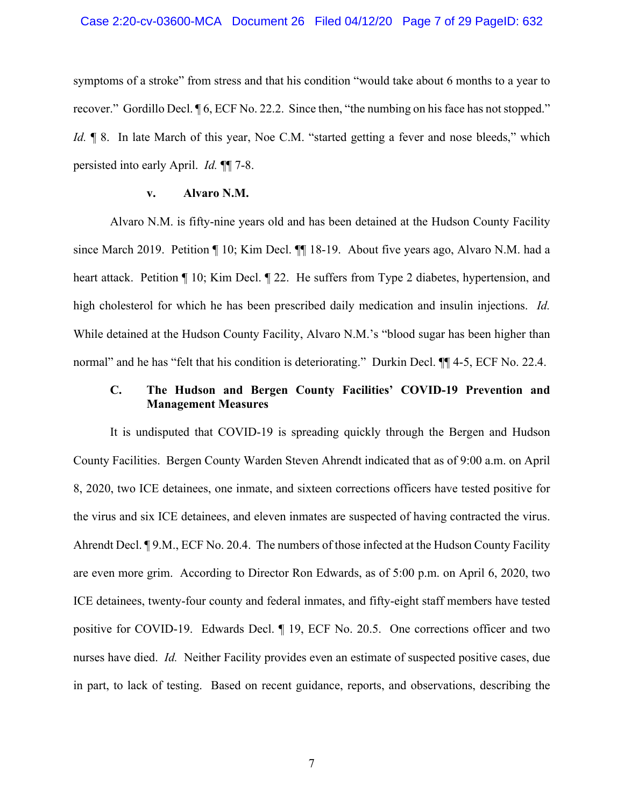symptoms of a stroke" from stress and that his condition "would take about 6 months to a year to recover." Gordillo Decl. ¶ 6, ECF No. 22.2. Since then, "the numbing on his face has not stopped." *Id.*  $\P$  8. In late March of this year, Noe C.M. "started getting a fever and nose bleeds," which persisted into early April. *Id.* ¶¶ 7-8.

## **v. Alvaro N.M.**

Alvaro N.M. is fifty-nine years old and has been detained at the Hudson County Facility since March 2019. Petition ¶ 10; Kim Decl. ¶¶ 18-19. About five years ago, Alvaro N.M. had a heart attack. Petition ¶ 10; Kim Decl. ¶ 22. He suffers from Type 2 diabetes, hypertension, and high cholesterol for which he has been prescribed daily medication and insulin injections. *Id.* While detained at the Hudson County Facility, Alvaro N.M.'s "blood sugar has been higher than normal" and he has "felt that his condition is deteriorating." Durkin Decl.  $\P$  4-5, ECF No. 22.4.

# **C. The Hudson and Bergen County Facilities' COVID-19 Prevention and Management Measures**

It is undisputed that COVID-19 is spreading quickly through the Bergen and Hudson County Facilities. Bergen County Warden Steven Ahrendt indicated that as of 9:00 a.m. on April 8, 2020, two ICE detainees, one inmate, and sixteen corrections officers have tested positive for the virus and six ICE detainees, and eleven inmates are suspected of having contracted the virus. Ahrendt Decl. ¶ 9.M., ECF No. 20.4. The numbers of those infected at the Hudson County Facility are even more grim. According to Director Ron Edwards, as of 5:00 p.m. on April 6, 2020, two ICE detainees, twenty-four county and federal inmates, and fifty-eight staff members have tested positive for COVID-19. Edwards Decl. ¶ 19, ECF No. 20.5. One corrections officer and two nurses have died. *Id.* Neither Facility provides even an estimate of suspected positive cases, due in part, to lack of testing. Based on recent guidance, reports, and observations, describing the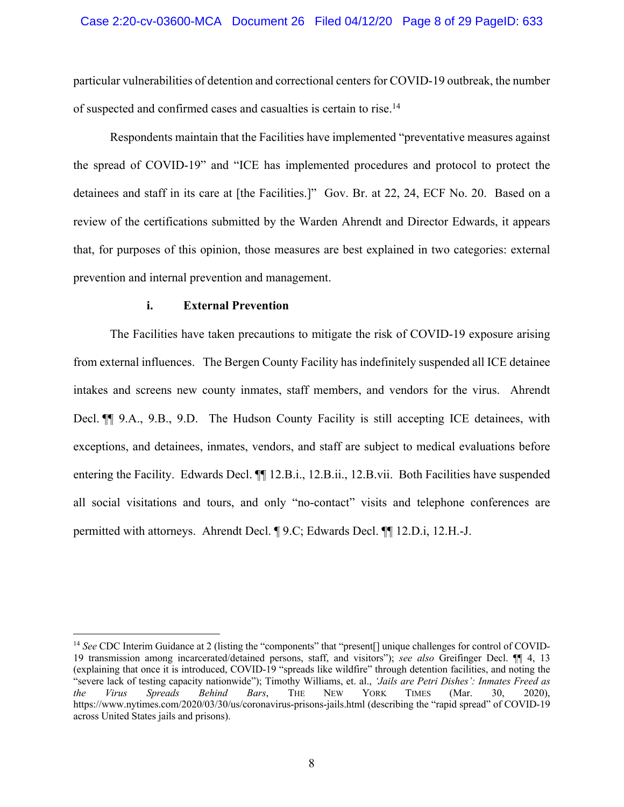## Case 2:20-cv-03600-MCA Document 26 Filed 04/12/20 Page 8 of 29 PageID: 633

particular vulnerabilities of detention and correctional centers for COVID-19 outbreak, the number of suspected and confirmed cases and casualties is certain to rise.14

Respondents maintain that the Facilities have implemented "preventative measures against the spread of COVID-19" and "ICE has implemented procedures and protocol to protect the detainees and staff in its care at [the Facilities.]" Gov. Br. at 22, 24, ECF No. 20. Based on a review of the certifications submitted by the Warden Ahrendt and Director Edwards, it appears that, for purposes of this opinion, those measures are best explained in two categories: external prevention and internal prevention and management.

#### **i. External Prevention**

The Facilities have taken precautions to mitigate the risk of COVID-19 exposure arising from external influences. The Bergen County Facility has indefinitely suspended all ICE detainee intakes and screens new county inmates, staff members, and vendors for the virus. Ahrendt Decl.  $\P$  9.A., 9.B., 9.D. The Hudson County Facility is still accepting ICE detainees, with exceptions, and detainees, inmates, vendors, and staff are subject to medical evaluations before entering the Facility. Edwards Decl. ¶¶ 12.B.i., 12.B.ii., 12.B.vii. Both Facilities have suspended all social visitations and tours, and only "no-contact" visits and telephone conferences are permitted with attorneys. Ahrendt Decl. ¶ 9.C; Edwards Decl. ¶¶ 12.D.i, 12.H.-J.

<sup>&</sup>lt;sup>14</sup> *See* CDC Interim Guidance at 2 (listing the "components" that "present[] unique challenges for control of COVID-19 transmission among incarcerated/detained persons, staff, and visitors"); *see also* Greifinger Decl. ¶¶ 4, 13 (explaining that once it is introduced, COVID-19 "spreads like wildfire" through detention facilities, and noting the "severe lack of testing capacity nationwide"); Timothy Williams, et. al., *'Jails are Petri Dishes': Inmates Freed as the Virus Spreads Behind Bars*, THE NEW YORK TIMES (Mar. 30, 2020), https://www.nytimes.com/2020/03/30/us/coronavirus-prisons-jails.html (describing the "rapid spread" of COVID-19 across United States jails and prisons).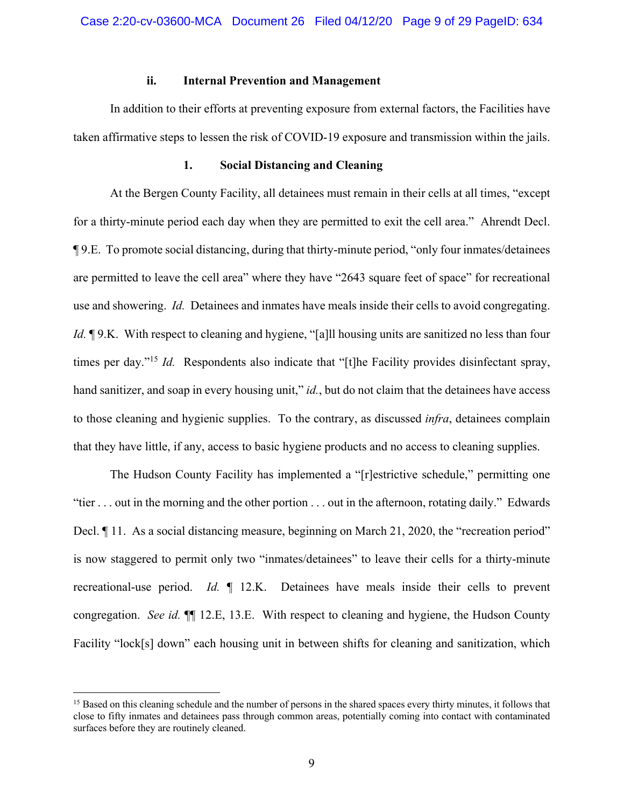#### **ii. Internal Prevention and Management**

In addition to their efforts at preventing exposure from external factors, the Facilities have taken affirmative steps to lessen the risk of COVID-19 exposure and transmission within the jails.

#### **1. Social Distancing and Cleaning**

At the Bergen County Facility, all detainees must remain in their cells at all times, "except for a thirty-minute period each day when they are permitted to exit the cell area." Ahrendt Decl. ¶ 9.E. To promote social distancing, during that thirty-minute period, "only four inmates/detainees are permitted to leave the cell area" where they have "2643 square feet of space" for recreational use and showering. *Id.* Detainees and inmates have meals inside their cells to avoid congregating. *Id.*  $\phi$  9.K. With respect to cleaning and hygiene, "[a]ll housing units are sanitized no less than four times per day."<sup>15</sup> *Id.* Respondents also indicate that "[t]he Facility provides disinfectant spray, hand sanitizer, and soap in every housing unit," *id.*, but do not claim that the detainees have access to those cleaning and hygienic supplies. To the contrary, as discussed *infra*, detainees complain that they have little, if any, access to basic hygiene products and no access to cleaning supplies.

The Hudson County Facility has implemented a "[r]estrictive schedule," permitting one "tier . . . out in the morning and the other portion . . . out in the afternoon, rotating daily." Edwards Decl.  $\P$  11. As a social distancing measure, beginning on March 21, 2020, the "recreation period" is now staggered to permit only two "inmates/detainees" to leave their cells for a thirty-minute recreational-use period. *Id.* ¶ 12.K. Detainees have meals inside their cells to prevent congregation. *See id.* ¶¶ 12.E, 13.E. With respect to cleaning and hygiene, the Hudson County Facility "lock[s] down" each housing unit in between shifts for cleaning and sanitization, which

<sup>&</sup>lt;sup>15</sup> Based on this cleaning schedule and the number of persons in the shared spaces every thirty minutes, it follows that close to fifty inmates and detainees pass through common areas, potentially coming into contact with contaminated surfaces before they are routinely cleaned.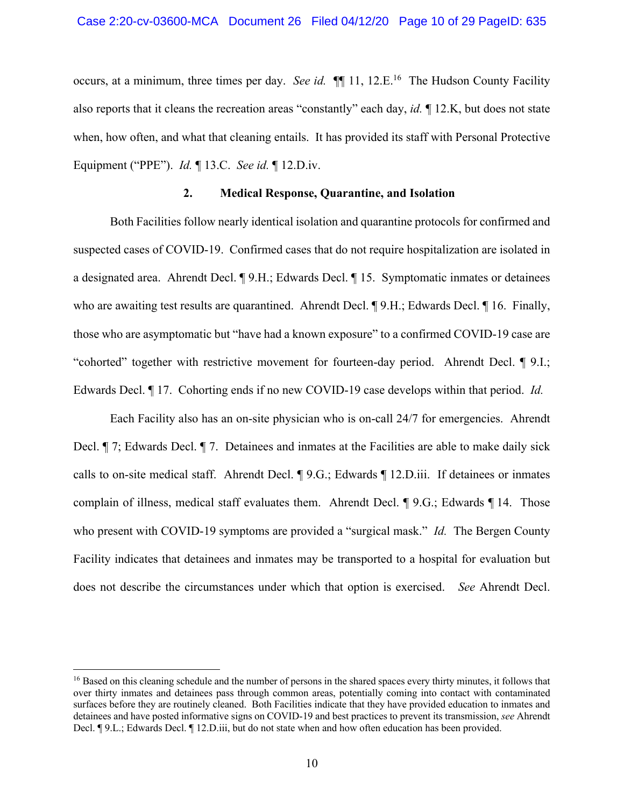occurs, at a minimum, three times per day. *See id.*  $\P\P$  11, 12.E.<sup>16</sup> The Hudson County Facility also reports that it cleans the recreation areas "constantly" each day, *id.* ¶ 12.K, but does not state when, how often, and what that cleaning entails. It has provided its staff with Personal Protective Equipment ("PPE"). *Id.* ¶ 13.C. *See id.* ¶ 12.D.iv.

# **2. Medical Response, Quarantine, and Isolation**

Both Facilities follow nearly identical isolation and quarantine protocols for confirmed and suspected cases of COVID-19. Confirmed cases that do not require hospitalization are isolated in a designated area. Ahrendt Decl. ¶ 9.H.; Edwards Decl. ¶ 15. Symptomatic inmates or detainees who are awaiting test results are quarantined. Ahrendt Decl. ¶ 9.H.; Edwards Decl. ¶ 16. Finally, those who are asymptomatic but "have had a known exposure" to a confirmed COVID-19 case are "cohorted" together with restrictive movement for fourteen-day period. Ahrendt Decl. ¶ 9.I.; Edwards Decl. ¶ 17. Cohorting ends if no new COVID-19 case develops within that period. *Id.*

Each Facility also has an on-site physician who is on-call 24/7 for emergencies. Ahrendt Decl. ¶ 7; Edwards Decl. ¶ 7. Detainees and inmates at the Facilities are able to make daily sick calls to on-site medical staff. Ahrendt Decl. ¶ 9.G.; Edwards ¶ 12.D.iii. If detainees or inmates complain of illness, medical staff evaluates them. Ahrendt Decl. ¶ 9.G.; Edwards ¶ 14. Those who present with COVID-19 symptoms are provided a "surgical mask." *Id.* The Bergen County Facility indicates that detainees and inmates may be transported to a hospital for evaluation but does not describe the circumstances under which that option is exercised. *See* Ahrendt Decl.

<sup>&</sup>lt;sup>16</sup> Based on this cleaning schedule and the number of persons in the shared spaces every thirty minutes, it follows that over thirty inmates and detainees pass through common areas, potentially coming into contact with contaminated surfaces before they are routinely cleaned. Both Facilities indicate that they have provided education to inmates and detainees and have posted informative signs on COVID-19 and best practices to prevent its transmission, *see* Ahrendt Decl. ¶ 9.L.; Edwards Decl. ¶ 12.D.iii, but do not state when and how often education has been provided.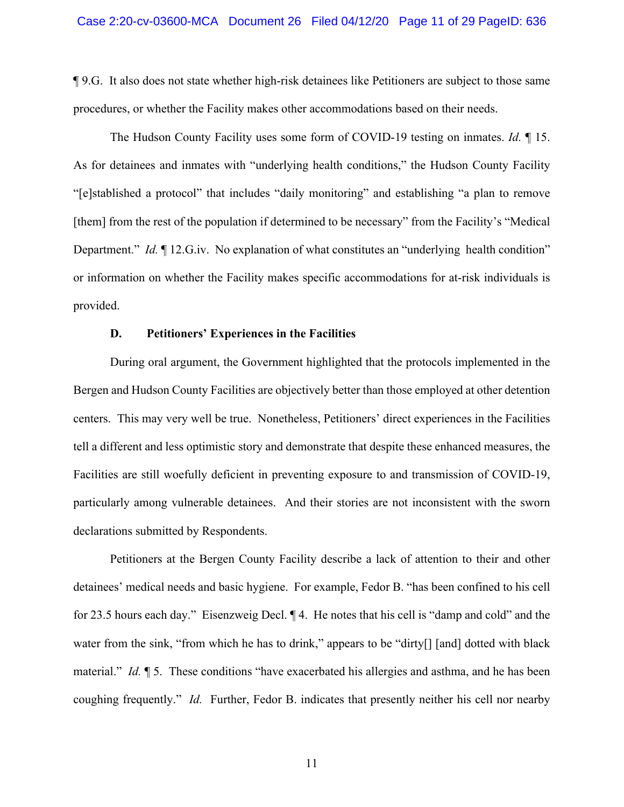¶ 9.G. It also does not state whether high-risk detainees like Petitioners are subject to those same procedures, or whether the Facility makes other accommodations based on their needs.

The Hudson County Facility uses some form of COVID-19 testing on inmates. *Id.* ¶ 15. As for detainees and inmates with "underlying health conditions," the Hudson County Facility "[e]stablished a protocol" that includes "daily monitoring" and establishing "a plan to remove [them] from the rest of the population if determined to be necessary" from the Facility's "Medical Department." *Id.*  $\llbracket$  12.G.iv. No explanation of what constitutes an "underlying health condition" or information on whether the Facility makes specific accommodations for at-risk individuals is provided.

#### **D. Petitioners' Experiences in the Facilities**

During oral argument, the Government highlighted that the protocols implemented in the Bergen and Hudson County Facilities are objectively better than those employed at other detention centers. This may very well be true. Nonetheless, Petitioners' direct experiences in the Facilities tell a different and less optimistic story and demonstrate that despite these enhanced measures, the Facilities are still woefully deficient in preventing exposure to and transmission of COVID-19, particularly among vulnerable detainees. And their stories are not inconsistent with the sworn declarations submitted by Respondents.

Petitioners at the Bergen County Facility describe a lack of attention to their and other detainees' medical needs and basic hygiene. For example, Fedor B. "has been confined to his cell for 23.5 hours each day." Eisenzweig Decl. ¶ 4. He notes that his cell is "damp and cold" and the water from the sink, "from which he has to drink," appears to be "dirty[] [and] dotted with black material." *Id.* ¶ 5. These conditions "have exacerbated his allergies and asthma, and he has been coughing frequently." *Id.* Further, Fedor B. indicates that presently neither his cell nor nearby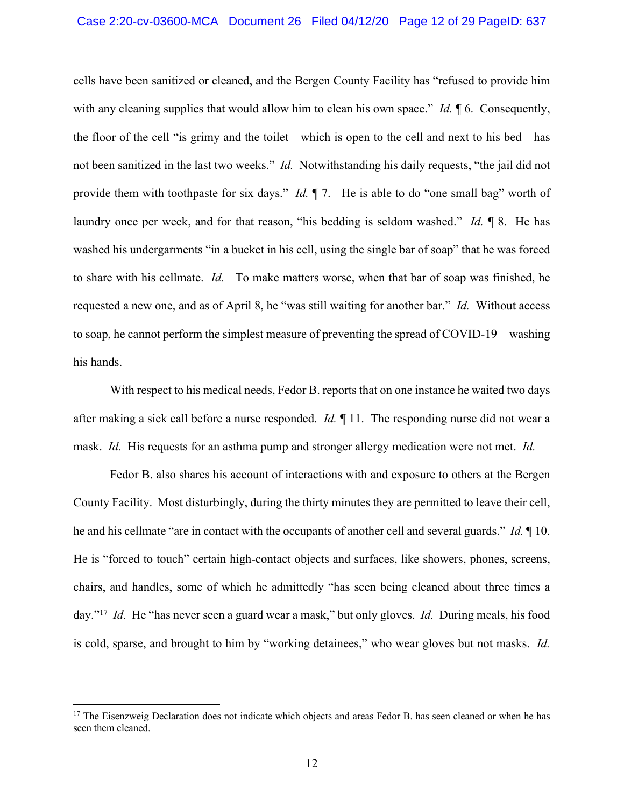cells have been sanitized or cleaned, and the Bergen County Facility has "refused to provide him with any cleaning supplies that would allow him to clean his own space." *Id.*  $\oint$  6. Consequently, the floor of the cell "is grimy and the toilet—which is open to the cell and next to his bed—has not been sanitized in the last two weeks." *Id.* Notwithstanding his daily requests, "the jail did not provide them with toothpaste for six days." *Id.* ¶ 7. He is able to do "one small bag" worth of laundry once per week, and for that reason, "his bedding is seldom washed." *Id.* ¶ 8. He has washed his undergarments "in a bucket in his cell, using the single bar of soap" that he was forced to share with his cellmate. *Id.* To make matters worse, when that bar of soap was finished, he requested a new one, and as of April 8, he "was still waiting for another bar." *Id.* Without access to soap, he cannot perform the simplest measure of preventing the spread of COVID-19—washing his hands.

With respect to his medical needs, Fedor B. reports that on one instance he waited two days after making a sick call before a nurse responded. *Id.* ¶ 11. The responding nurse did not wear a mask. *Id.* His requests for an asthma pump and stronger allergy medication were not met. *Id.*

Fedor B. also shares his account of interactions with and exposure to others at the Bergen County Facility. Most disturbingly, during the thirty minutes they are permitted to leave their cell, he and his cellmate "are in contact with the occupants of another cell and several guards." *Id.* ¶ 10. He is "forced to touch" certain high-contact objects and surfaces, like showers, phones, screens, chairs, and handles, some of which he admittedly "has seen being cleaned about three times a day."17 *Id.* He "has never seen a guard wear a mask," but only gloves. *Id.* During meals, his food is cold, sparse, and brought to him by "working detainees," who wear gloves but not masks. *Id.*

<sup>&</sup>lt;sup>17</sup> The Eisenzweig Declaration does not indicate which objects and areas Fedor B. has seen cleaned or when he has seen them cleaned.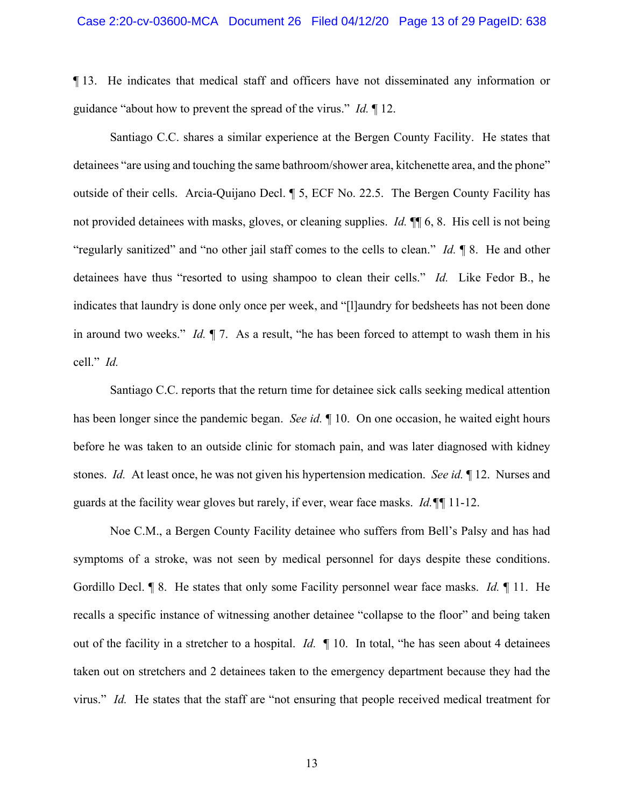¶ 13. He indicates that medical staff and officers have not disseminated any information or guidance "about how to prevent the spread of the virus." *Id.* ¶ 12.

Santiago C.C. shares a similar experience at the Bergen County Facility. He states that detainees "are using and touching the same bathroom/shower area, kitchenette area, and the phone" outside of their cells. Arcia-Quijano Decl. ¶ 5, ECF No. 22.5. The Bergen County Facility has not provided detainees with masks, gloves, or cleaning supplies. *Id.* ¶¶ 6, 8. His cell is not being "regularly sanitized" and "no other jail staff comes to the cells to clean." *Id.* ¶ 8. He and other detainees have thus "resorted to using shampoo to clean their cells." *Id.* Like Fedor B., he indicates that laundry is done only once per week, and "[l]aundry for bedsheets has not been done in around two weeks." *Id.* ¶ 7. As a result, "he has been forced to attempt to wash them in his cell." *Id.*

Santiago C.C. reports that the return time for detainee sick calls seeking medical attention has been longer since the pandemic began. *See id.* ¶ 10. On one occasion, he waited eight hours before he was taken to an outside clinic for stomach pain, and was later diagnosed with kidney stones. *Id.* At least once, he was not given his hypertension medication. *See id.* ¶ 12. Nurses and guards at the facility wear gloves but rarely, if ever, wear face masks. *Id.¶¶* 11-12.

Noe C.M., a Bergen County Facility detainee who suffers from Bell's Palsy and has had symptoms of a stroke, was not seen by medical personnel for days despite these conditions. Gordillo Decl. ¶ 8. He states that only some Facility personnel wear face masks. *Id.* ¶ 11. He recalls a specific instance of witnessing another detainee "collapse to the floor" and being taken out of the facility in a stretcher to a hospital. *Id.* ¶ 10. In total, "he has seen about 4 detainees taken out on stretchers and 2 detainees taken to the emergency department because they had the virus." *Id.* He states that the staff are "not ensuring that people received medical treatment for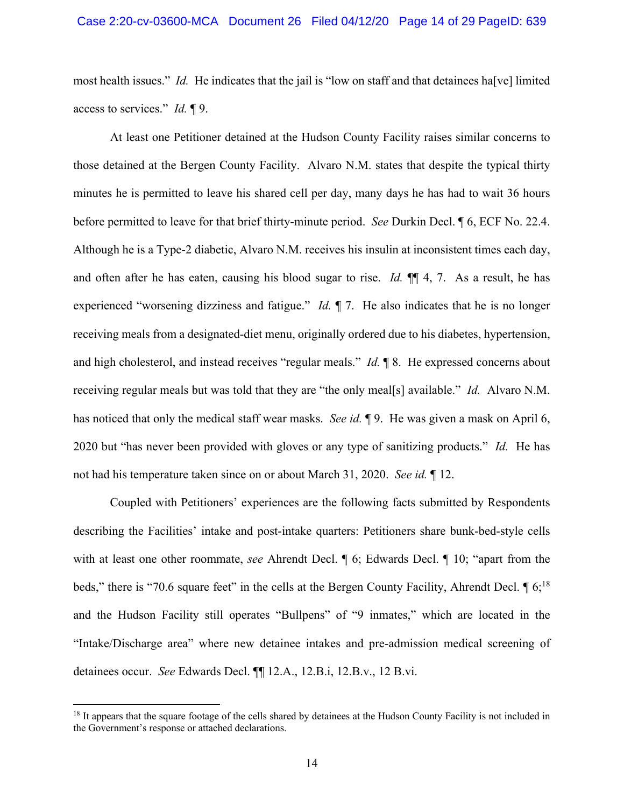most health issues." *Id.* He indicates that the jail is "low on staff and that detainees ha[ve] limited access to services." *Id.* ¶ 9.

At least one Petitioner detained at the Hudson County Facility raises similar concerns to those detained at the Bergen County Facility. Alvaro N.M. states that despite the typical thirty minutes he is permitted to leave his shared cell per day, many days he has had to wait 36 hours before permitted to leave for that brief thirty-minute period. *See* Durkin Decl. ¶ 6, ECF No. 22.4. Although he is a Type-2 diabetic, Alvaro N.M. receives his insulin at inconsistent times each day, and often after he has eaten, causing his blood sugar to rise. *Id.* ¶¶ 4, 7. As a result, he has experienced "worsening dizziness and fatigue." *Id.* ¶ 7. He also indicates that he is no longer receiving meals from a designated-diet menu, originally ordered due to his diabetes, hypertension, and high cholesterol, and instead receives "regular meals." *Id.* ¶ 8. He expressed concerns about receiving regular meals but was told that they are "the only meal[s] available." *Id.* Alvaro N.M. has noticed that only the medical staff wear masks. *See id.* ¶ 9. He was given a mask on April 6, 2020 but "has never been provided with gloves or any type of sanitizing products." *Id.* He has not had his temperature taken since on or about March 31, 2020. *See id.* ¶ 12.

Coupled with Petitioners' experiences are the following facts submitted by Respondents describing the Facilities' intake and post-intake quarters: Petitioners share bunk-bed-style cells with at least one other roommate, *see* Ahrendt Decl. ¶ 6; Edwards Decl. ¶ 10; "apart from the beds," there is "70.6 square feet" in the cells at the Bergen County Facility, Ahrendt Decl.  $\sqrt{16}$ ; 6;<sup>18</sup> and the Hudson Facility still operates "Bullpens" of "9 inmates," which are located in the "Intake/Discharge area" where new detainee intakes and pre-admission medical screening of detainees occur. *See* Edwards Decl. ¶¶ 12.A., 12.B.i, 12.B.v., 12 B.vi.

<sup>&</sup>lt;sup>18</sup> It appears that the square footage of the cells shared by detainees at the Hudson County Facility is not included in the Government's response or attached declarations.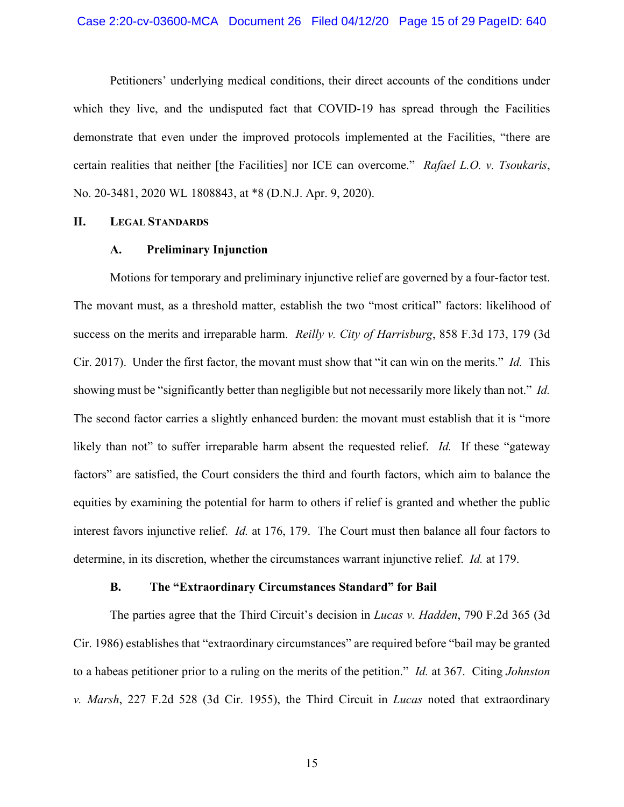#### Case 2:20-cv-03600-MCA Document 26 Filed 04/12/20 Page 15 of 29 PageID: 640

Petitioners' underlying medical conditions, their direct accounts of the conditions under which they live, and the undisputed fact that COVID-19 has spread through the Facilities demonstrate that even under the improved protocols implemented at the Facilities, "there are certain realities that neither [the Facilities] nor ICE can overcome." *Rafael L.O. v. Tsoukaris*, No. 20-3481, 2020 WL 1808843, at \*8 (D.N.J. Apr. 9, 2020).

## **II. LEGAL STANDARDS**

#### **A. Preliminary Injunction**

Motions for temporary and preliminary injunctive relief are governed by a four-factor test. The movant must, as a threshold matter, establish the two "most critical" factors: likelihood of success on the merits and irreparable harm. *Reilly v. City of Harrisburg*, 858 F.3d 173, 179 (3d Cir. 2017). Under the first factor, the movant must show that "it can win on the merits." *Id.* This showing must be "significantly better than negligible but not necessarily more likely than not." *Id.* The second factor carries a slightly enhanced burden: the movant must establish that it is "more likely than not" to suffer irreparable harm absent the requested relief. *Id.* If these "gateway factors" are satisfied, the Court considers the third and fourth factors, which aim to balance the equities by examining the potential for harm to others if relief is granted and whether the public interest favors injunctive relief. *Id.* at 176, 179. The Court must then balance all four factors to determine, in its discretion, whether the circumstances warrant injunctive relief. *Id.* at 179.

#### **B. The "Extraordinary Circumstances Standard" for Bail**

The parties agree that the Third Circuit's decision in *Lucas v. Hadden*, 790 F.2d 365 (3d Cir. 1986) establishes that "extraordinary circumstances" are required before "bail may be granted to a habeas petitioner prior to a ruling on the merits of the petition." *Id.* at 367. Citing *Johnston v. Marsh*, 227 F.2d 528 (3d Cir. 1955), the Third Circuit in *Lucas* noted that extraordinary

15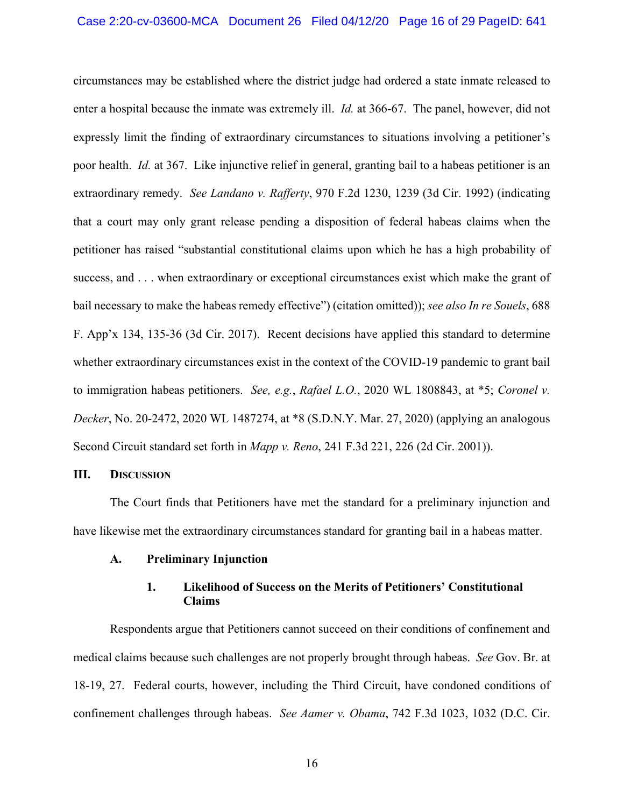circumstances may be established where the district judge had ordered a state inmate released to enter a hospital because the inmate was extremely ill. *Id.* at 366-67. The panel, however, did not expressly limit the finding of extraordinary circumstances to situations involving a petitioner's poor health. *Id.* at 367. Like injunctive relief in general, granting bail to a habeas petitioner is an extraordinary remedy. *See Landano v. Rafferty*, 970 F.2d 1230, 1239 (3d Cir. 1992) (indicating that a court may only grant release pending a disposition of federal habeas claims when the petitioner has raised "substantial constitutional claims upon which he has a high probability of success, and . . . when extraordinary or exceptional circumstances exist which make the grant of bail necessary to make the habeas remedy effective") (citation omitted)); *see also In re Souels*, 688 F. App'x 134, 135-36 (3d Cir. 2017). Recent decisions have applied this standard to determine whether extraordinary circumstances exist in the context of the COVID-19 pandemic to grant bail to immigration habeas petitioners. *See, e.g.*, *Rafael L.O.*, 2020 WL 1808843, at \*5; *Coronel v. Decker*, No. 20-2472, 2020 WL 1487274, at \*8 (S.D.N.Y. Mar. 27, 2020) (applying an analogous Second Circuit standard set forth in *Mapp v. Reno*, 241 F.3d 221, 226 (2d Cir. 2001)).

#### **III. DISCUSSION**

The Court finds that Petitioners have met the standard for a preliminary injunction and have likewise met the extraordinary circumstances standard for granting bail in a habeas matter.

## **A. Preliminary Injunction**

# **1. Likelihood of Success on the Merits of Petitioners' Constitutional Claims**

Respondents argue that Petitioners cannot succeed on their conditions of confinement and medical claims because such challenges are not properly brought through habeas. *See* Gov. Br. at 18-19, 27. Federal courts, however, including the Third Circuit, have condoned conditions of confinement challenges through habeas. *See Aamer v. Obama*, 742 F.3d 1023, 1032 (D.C. Cir.

16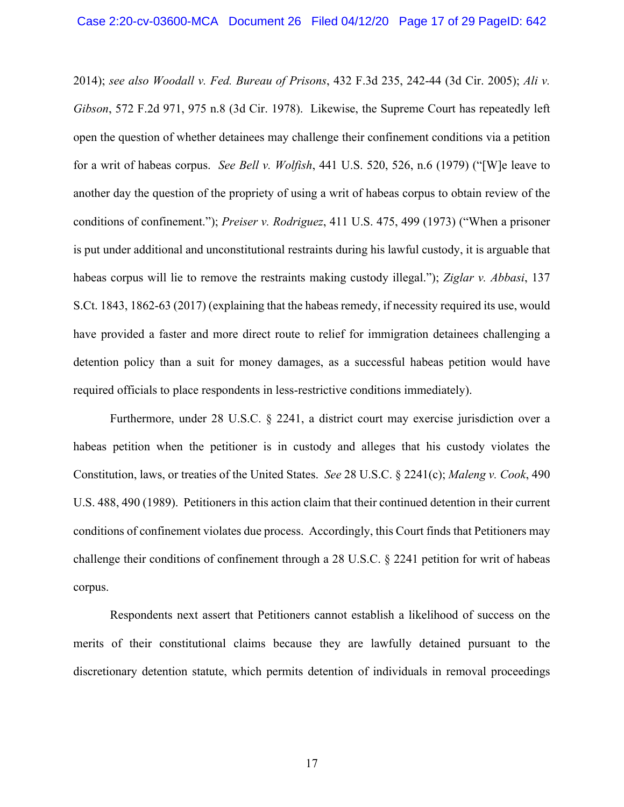2014); *see also Woodall v. Fed. Bureau of Prisons*, 432 F.3d 235, 242-44 (3d Cir. 2005); *Ali v. Gibson*, 572 F.2d 971, 975 n.8 (3d Cir. 1978). Likewise, the Supreme Court has repeatedly left open the question of whether detainees may challenge their confinement conditions via a petition for a writ of habeas corpus. *See Bell v. Wolfish*, 441 U.S. 520, 526, n.6 (1979) ("[W]e leave to another day the question of the propriety of using a writ of habeas corpus to obtain review of the conditions of confinement."); *Preiser v. Rodriguez*, 411 U.S. 475, 499 (1973) ("When a prisoner is put under additional and unconstitutional restraints during his lawful custody, it is arguable that habeas corpus will lie to remove the restraints making custody illegal."); *Ziglar v. Abbasi*, 137 S.Ct. 1843, 1862-63 (2017) (explaining that the habeas remedy, if necessity required its use, would have provided a faster and more direct route to relief for immigration detainees challenging a detention policy than a suit for money damages, as a successful habeas petition would have required officials to place respondents in less-restrictive conditions immediately).

Furthermore, under 28 U.S.C. § 2241, a district court may exercise jurisdiction over a habeas petition when the petitioner is in custody and alleges that his custody violates the Constitution, laws, or treaties of the United States. *See* 28 U.S.C. § 2241(c); *Maleng v. Cook*, 490 U.S. 488, 490 (1989). Petitioners in this action claim that their continued detention in their current conditions of confinement violates due process. Accordingly, this Court finds that Petitioners may challenge their conditions of confinement through a 28 U.S.C. § 2241 petition for writ of habeas corpus.

Respondents next assert that Petitioners cannot establish a likelihood of success on the merits of their constitutional claims because they are lawfully detained pursuant to the discretionary detention statute, which permits detention of individuals in removal proceedings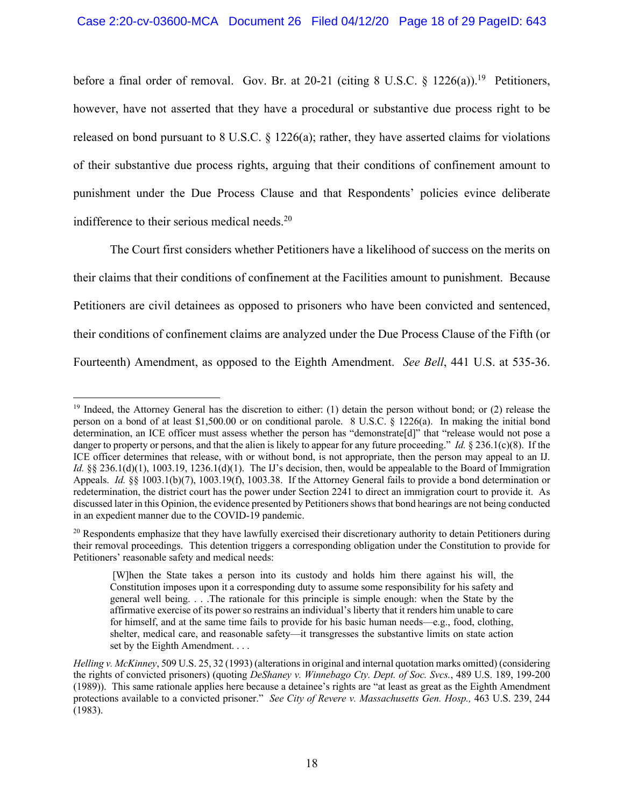before a final order of removal. Gov. Br. at 20-21 (citing 8 U.S.C.  $\S$  1226(a)).<sup>19</sup> Petitioners, however, have not asserted that they have a procedural or substantive due process right to be released on bond pursuant to 8 U.S.C.  $\S$  1226(a); rather, they have asserted claims for violations of their substantive due process rights, arguing that their conditions of confinement amount to punishment under the Due Process Clause and that Respondents' policies evince deliberate indifference to their serious medical needs.<sup>20</sup>

The Court first considers whether Petitioners have a likelihood of success on the merits on their claims that their conditions of confinement at the Facilities amount to punishment. Because Petitioners are civil detainees as opposed to prisoners who have been convicted and sentenced, their conditions of confinement claims are analyzed under the Due Process Clause of the Fifth (or Fourteenth) Amendment, as opposed to the Eighth Amendment. *See Bell*, 441 U.S. at 535-36.

<sup>&</sup>lt;sup>19</sup> Indeed, the Attorney General has the discretion to either: (1) detain the person without bond; or (2) release the person on a bond of at least \$1,500.00 or on conditional parole. 8 U.S.C. § 1226(a). In making the initial bond determination, an ICE officer must assess whether the person has "demonstrate[d]" that "release would not pose a danger to property or persons, and that the alien is likely to appear for any future proceeding." *Id.* § 236.1(c)(8). If the ICE officer determines that release, with or without bond, is not appropriate, then the person may appeal to an IJ. *Id.* §§ 236.1(d)(1), 1003.19, 1236.1(d)(1). The IJ's decision, then, would be appealable to the Board of Immigration Appeals. *Id.* §§ 1003.1(b)(7), 1003.19(f), 1003.38. If the Attorney General fails to provide a bond determination or redetermination, the district court has the power under Section 2241 to direct an immigration court to provide it. As discussed later in this Opinion, the evidence presented by Petitioners shows that bond hearings are not being conducted in an expedient manner due to the COVID-19 pandemic.

 $20$  Respondents emphasize that they have lawfully exercised their discretionary authority to detain Petitioners during their removal proceedings. This detention triggers a corresponding obligation under the Constitution to provide for Petitioners' reasonable safety and medical needs:

<sup>[</sup>W]hen the State takes a person into its custody and holds him there against his will, the Constitution imposes upon it a corresponding duty to assume some responsibility for his safety and general well being. . . .The rationale for this principle is simple enough: when the State by the affirmative exercise of its power so restrains an individual's liberty that it renders him unable to care for himself, and at the same time fails to provide for his basic human needs—e.g., food, clothing, shelter, medical care, and reasonable safety—it transgresses the substantive limits on state action set by the Eighth Amendment. . . .

*Helling v. McKinney*, 509 U.S. 25, 32 (1993) (alterations in original and internal quotation marks omitted) (considering the rights of convicted prisoners) (quoting *DeShaney v. Winnebago Cty. Dept. of Soc. Svcs.*, 489 U.S. 189, 199-200 (1989)). This same rationale applies here because a detainee's rights are "at least as great as the Eighth Amendment protections available to a convicted prisoner." *See City of Revere v. Massachusetts Gen. Hosp.,* 463 U.S. 239, 244 (1983).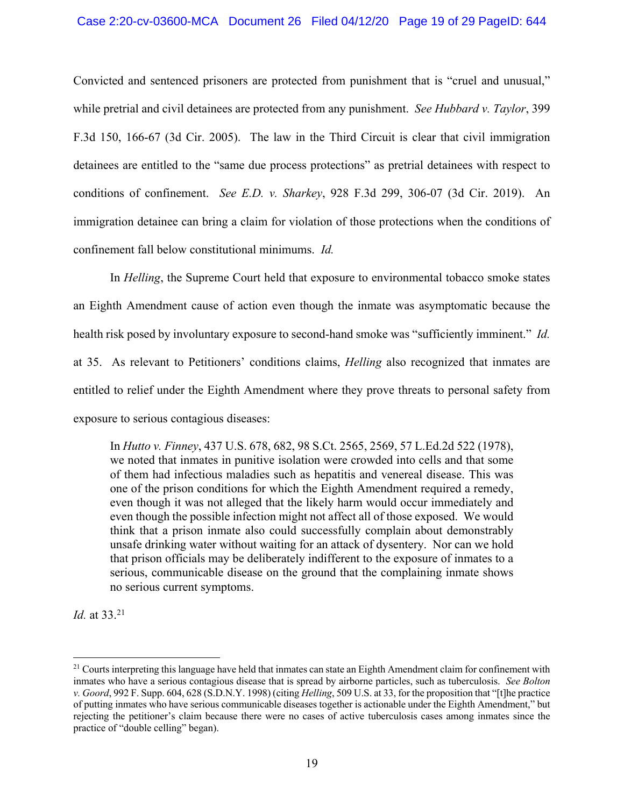# Case 2:20-cv-03600-MCA Document 26 Filed 04/12/20 Page 19 of 29 PageID: 644

Convicted and sentenced prisoners are protected from punishment that is "cruel and unusual," while pretrial and civil detainees are protected from any punishment. *See Hubbard v. Taylor*, 399 F.3d 150, 166-67 (3d Cir. 2005). The law in the Third Circuit is clear that civil immigration detainees are entitled to the "same due process protections" as pretrial detainees with respect to conditions of confinement. *See E.D. v. Sharkey*, 928 F.3d 299, 306-07 (3d Cir. 2019). An immigration detainee can bring a claim for violation of those protections when the conditions of confinement fall below constitutional minimums. *Id.*

In *Helling*, the Supreme Court held that exposure to environmental tobacco smoke states an Eighth Amendment cause of action even though the inmate was asymptomatic because the health risk posed by involuntary exposure to second-hand smoke was "sufficiently imminent." *Id.*  at 35. As relevant to Petitioners' conditions claims, *Helling* also recognized that inmates are entitled to relief under the Eighth Amendment where they prove threats to personal safety from exposure to serious contagious diseases:

In *Hutto v. Finney*, 437 U.S. 678, 682, 98 S.Ct. 2565, 2569, 57 L.Ed.2d 522 (1978), we noted that inmates in punitive isolation were crowded into cells and that some of them had infectious maladies such as hepatitis and venereal disease. This was one of the prison conditions for which the Eighth Amendment required a remedy, even though it was not alleged that the likely harm would occur immediately and even though the possible infection might not affect all of those exposed. We would think that a prison inmate also could successfully complain about demonstrably unsafe drinking water without waiting for an attack of dysentery. Nor can we hold that prison officials may be deliberately indifferent to the exposure of inmates to a serious, communicable disease on the ground that the complaining inmate shows no serious current symptoms.

*Id.* at 33. 21

 $21$  Courts interpreting this language have held that inmates can state an Eighth Amendment claim for confinement with inmates who have a serious contagious disease that is spread by airborne particles, such as tuberculosis. *See Bolton v. Goord*, 992 F. Supp. 604, 628 (S.D.N.Y. 1998) (citing *Helling*, 509 U.S. at 33, for the proposition that "[t]he practice of putting inmates who have serious communicable diseases together is actionable under the Eighth Amendment," but rejecting the petitioner's claim because there were no cases of active tuberculosis cases among inmates since the practice of "double celling" began).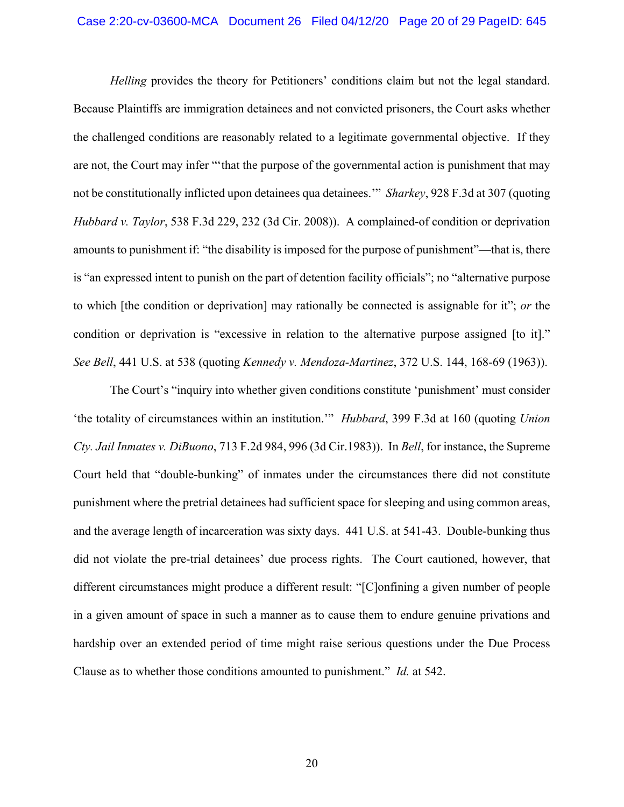*Helling* provides the theory for Petitioners' conditions claim but not the legal standard. Because Plaintiffs are immigration detainees and not convicted prisoners, the Court asks whether the challenged conditions are reasonably related to a legitimate governmental objective. If they are not, the Court may infer "'that the purpose of the governmental action is punishment that may not be constitutionally inflicted upon detainees qua detainees.'" *Sharkey*, 928 F.3d at 307 (quoting *Hubbard v. Taylor*, 538 F.3d 229, 232 (3d Cir. 2008)). A complained-of condition or deprivation amounts to punishment if: "the disability is imposed for the purpose of punishment"—that is, there is "an expressed intent to punish on the part of detention facility officials"; no "alternative purpose to which [the condition or deprivation] may rationally be connected is assignable for it"; *or* the condition or deprivation is "excessive in relation to the alternative purpose assigned [to it]." *See Bell*, 441 U.S. at 538 (quoting *Kennedy v. Mendoza-Martinez*, 372 U.S. 144, 168-69 (1963)).

The Court's "inquiry into whether given conditions constitute 'punishment' must consider 'the totality of circumstances within an institution.'" *Hubbard*, 399 F.3d at 160 (quoting *Union Cty. Jail Inmates v. DiBuono*, 713 F.2d 984, 996 (3d Cir.1983)). In *Bell*, for instance, the Supreme Court held that "double-bunking" of inmates under the circumstances there did not constitute punishment where the pretrial detainees had sufficient space for sleeping and using common areas, and the average length of incarceration was sixty days. 441 U.S. at 541-43. Double-bunking thus did not violate the pre-trial detainees' due process rights. The Court cautioned, however, that different circumstances might produce a different result: "[C]onfining a given number of people in a given amount of space in such a manner as to cause them to endure genuine privations and hardship over an extended period of time might raise serious questions under the Due Process Clause as to whether those conditions amounted to punishment." *Id.* at 542.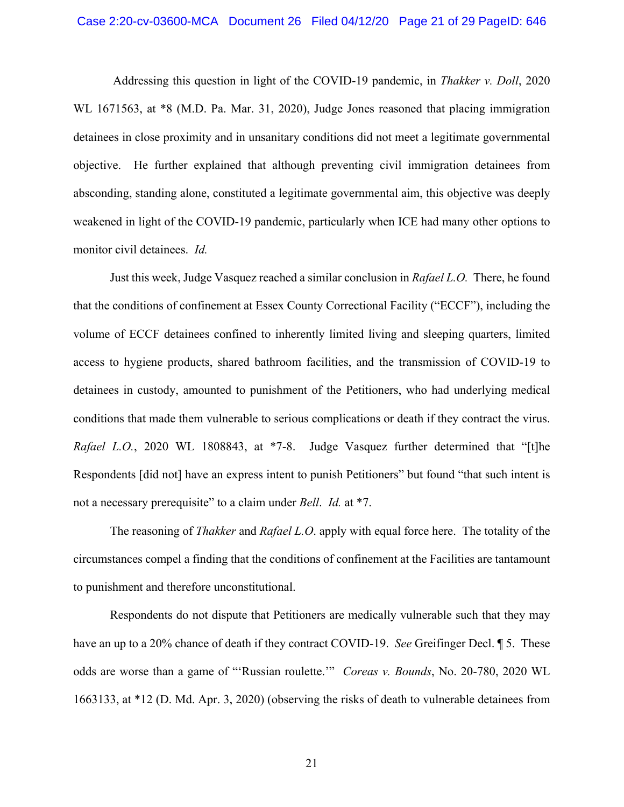Addressing this question in light of the COVID-19 pandemic, in *Thakker v. Doll*, 2020 WL 1671563, at  $*8$  (M.D. Pa. Mar. 31, 2020), Judge Jones reasoned that placing immigration detainees in close proximity and in unsanitary conditions did not meet a legitimate governmental objective. He further explained that although preventing civil immigration detainees from absconding, standing alone, constituted a legitimate governmental aim, this objective was deeply weakened in light of the COVID-19 pandemic, particularly when ICE had many other options to monitor civil detainees. *Id.*

Just this week, Judge Vasquez reached a similar conclusion in *Rafael L.O.* There, he found that the conditions of confinement at Essex County Correctional Facility ("ECCF"), including the volume of ECCF detainees confined to inherently limited living and sleeping quarters, limited access to hygiene products, shared bathroom facilities, and the transmission of COVID-19 to detainees in custody, amounted to punishment of the Petitioners, who had underlying medical conditions that made them vulnerable to serious complications or death if they contract the virus. *Rafael L.O.*, 2020 WL 1808843, at \*7-8. Judge Vasquez further determined that "[t]he Respondents [did not] have an express intent to punish Petitioners" but found "that such intent is not a necessary prerequisite" to a claim under *Bell*. *Id.* at \*7.

The reasoning of *Thakker* and *Rafael L.O*. apply with equal force here. The totality of the circumstances compel a finding that the conditions of confinement at the Facilities are tantamount to punishment and therefore unconstitutional.

Respondents do not dispute that Petitioners are medically vulnerable such that they may have an up to a 20% chance of death if they contract COVID-19. *See* Greifinger Decl. ¶ 5. These odds are worse than a game of "'Russian roulette.'" *Coreas v. Bounds*, No. 20-780, 2020 WL 1663133, at \*12 (D. Md. Apr. 3, 2020) (observing the risks of death to vulnerable detainees from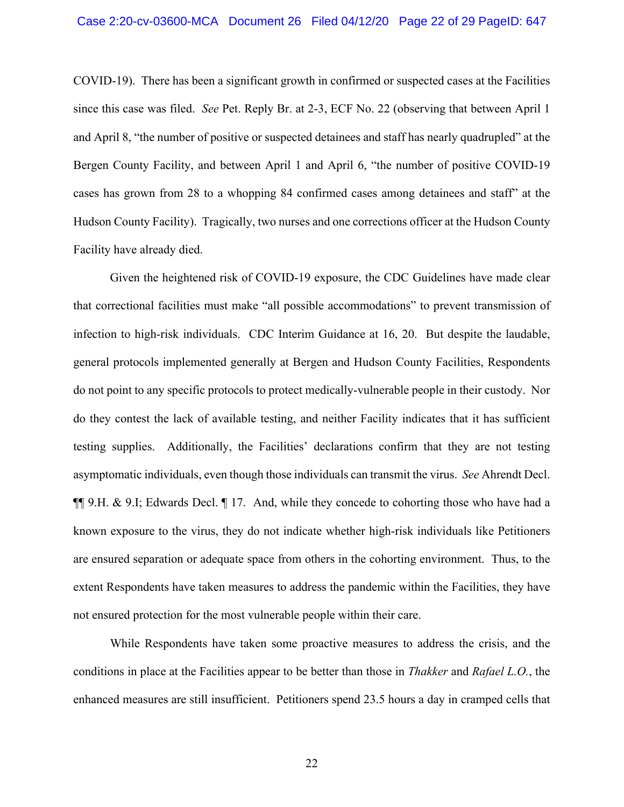COVID-19). There has been a significant growth in confirmed or suspected cases at the Facilities since this case was filed. *See* Pet. Reply Br. at 2-3, ECF No. 22 (observing that between April 1 and April 8, "the number of positive or suspected detainees and staff has nearly quadrupled" at the Bergen County Facility, and between April 1 and April 6, "the number of positive COVID-19 cases has grown from 28 to a whopping 84 confirmed cases among detainees and staff" at the Hudson County Facility). Tragically, two nurses and one corrections officer at the Hudson County Facility have already died.

Given the heightened risk of COVID-19 exposure, the CDC Guidelines have made clear that correctional facilities must make "all possible accommodations" to prevent transmission of infection to high-risk individuals. CDC Interim Guidance at 16, 20. But despite the laudable, general protocols implemented generally at Bergen and Hudson County Facilities, Respondents do not point to any specific protocols to protect medically-vulnerable people in their custody. Nor do they contest the lack of available testing, and neither Facility indicates that it has sufficient testing supplies. Additionally, the Facilities' declarations confirm that they are not testing asymptomatic individuals, even though those individuals can transmit the virus. *See* Ahrendt Decl. ¶¶ 9.H. & 9.I; Edwards Decl. ¶ 17. And, while they concede to cohorting those who have had a known exposure to the virus, they do not indicate whether high-risk individuals like Petitioners are ensured separation or adequate space from others in the cohorting environment. Thus, to the extent Respondents have taken measures to address the pandemic within the Facilities, they have not ensured protection for the most vulnerable people within their care.

While Respondents have taken some proactive measures to address the crisis, and the conditions in place at the Facilities appear to be better than those in *Thakker* and *Rafael L.O.*, the enhanced measures are still insufficient. Petitioners spend 23.5 hours a day in cramped cells that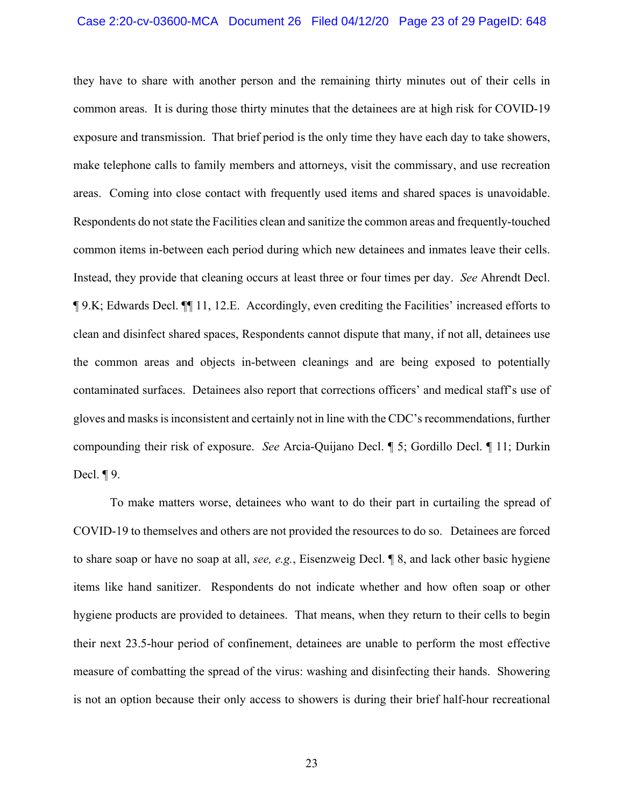they have to share with another person and the remaining thirty minutes out of their cells in common areas. It is during those thirty minutes that the detainees are at high risk for COVID-19 exposure and transmission. That brief period is the only time they have each day to take showers, make telephone calls to family members and attorneys, visit the commissary, and use recreation areas. Coming into close contact with frequently used items and shared spaces is unavoidable. Respondents do not state the Facilities clean and sanitize the common areas and frequently-touched common items in-between each period during which new detainees and inmates leave their cells. Instead, they provide that cleaning occurs at least three or four times per day. *See* Ahrendt Decl. ¶ 9.K; Edwards Decl. ¶¶ 11, 12.E. Accordingly, even crediting the Facilities' increased efforts to clean and disinfect shared spaces, Respondents cannot dispute that many, if not all, detainees use the common areas and objects in-between cleanings and are being exposed to potentially contaminated surfaces. Detainees also report that corrections officers' and medical staff's use of gloves and masks is inconsistent and certainly not in line with the CDC's recommendations, further compounding their risk of exposure. *See* Arcia-Quijano Decl. ¶ 5; Gordillo Decl. ¶ 11; Durkin Decl.  $\P$ 9.

To make matters worse, detainees who want to do their part in curtailing the spread of COVID-19 to themselves and others are not provided the resources to do so. Detainees are forced to share soap or have no soap at all, *see, e.g.*, Eisenzweig Decl. ¶ 8, and lack other basic hygiene items like hand sanitizer. Respondents do not indicate whether and how often soap or other hygiene products are provided to detainees. That means, when they return to their cells to begin their next 23.5-hour period of confinement, detainees are unable to perform the most effective measure of combatting the spread of the virus: washing and disinfecting their hands. Showering is not an option because their only access to showers is during their brief half-hour recreational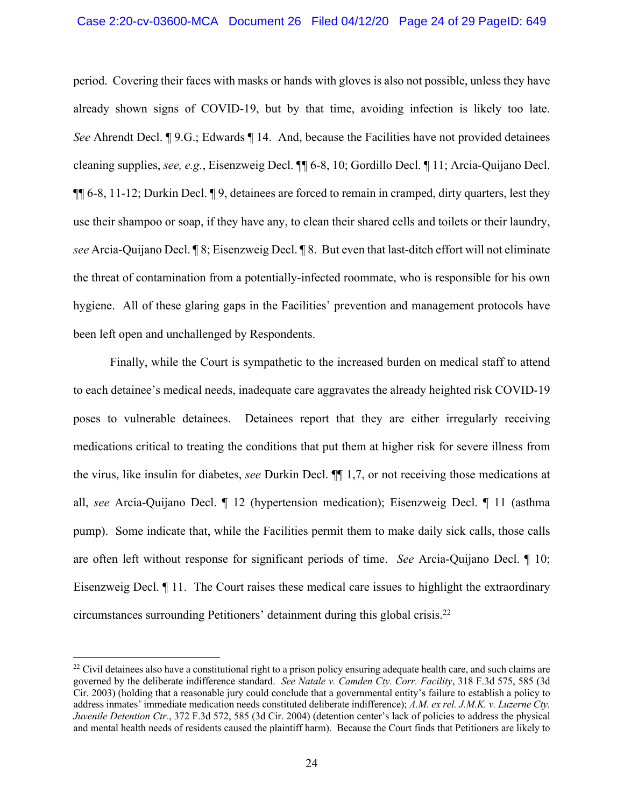period. Covering their faces with masks or hands with gloves is also not possible, unless they have already shown signs of COVID-19, but by that time, avoiding infection is likely too late. *See* Ahrendt Decl. ¶ 9.G.; Edwards ¶ 14. And, because the Facilities have not provided detainees cleaning supplies, *see, e.g.*, Eisenzweig Decl. ¶¶ 6-8, 10; Gordillo Decl. ¶ 11; Arcia-Quijano Decl. ¶¶ 6-8, 11-12; Durkin Decl. ¶ 9, detainees are forced to remain in cramped, dirty quarters, lest they use their shampoo or soap, if they have any, to clean their shared cells and toilets or their laundry, *see* Arcia-Quijano Decl. ¶ 8; Eisenzweig Decl. ¶ 8. But even that last-ditch effort will not eliminate the threat of contamination from a potentially-infected roommate, who is responsible for his own hygiene. All of these glaring gaps in the Facilities' prevention and management protocols have been left open and unchallenged by Respondents.

Finally, while the Court is sympathetic to the increased burden on medical staff to attend to each detainee's medical needs, inadequate care aggravates the already heighted risk COVID-19 poses to vulnerable detainees. Detainees report that they are either irregularly receiving medications critical to treating the conditions that put them at higher risk for severe illness from the virus, like insulin for diabetes, *see* Durkin Decl. ¶¶ 1,7, or not receiving those medications at all, *see* Arcia-Quijano Decl. ¶ 12 (hypertension medication); Eisenzweig Decl. ¶ 11 (asthma pump). Some indicate that, while the Facilities permit them to make daily sick calls, those calls are often left without response for significant periods of time. *See* Arcia-Quijano Decl. ¶ 10; Eisenzweig Decl. ¶ 11. The Court raises these medical care issues to highlight the extraordinary circumstances surrounding Petitioners' detainment during this global crisis. 22

 $^{22}$  Civil detainees also have a constitutional right to a prison policy ensuring adequate health care, and such claims are governed by the deliberate indifference standard. *See Natale v. Camden Cty. Corr. Facility*, 318 F.3d 575, 585 (3d Cir. 2003) (holding that a reasonable jury could conclude that a governmental entity's failure to establish a policy to address inmates' immediate medication needs constituted deliberate indifference); *A.M. ex rel. J.M.K. v. Luzerne Cty. Juvenile Detention Ctr.*, 372 F.3d 572, 585 (3d Cir. 2004) (detention center's lack of policies to address the physical and mental health needs of residents caused the plaintiff harm). Because the Court finds that Petitioners are likely to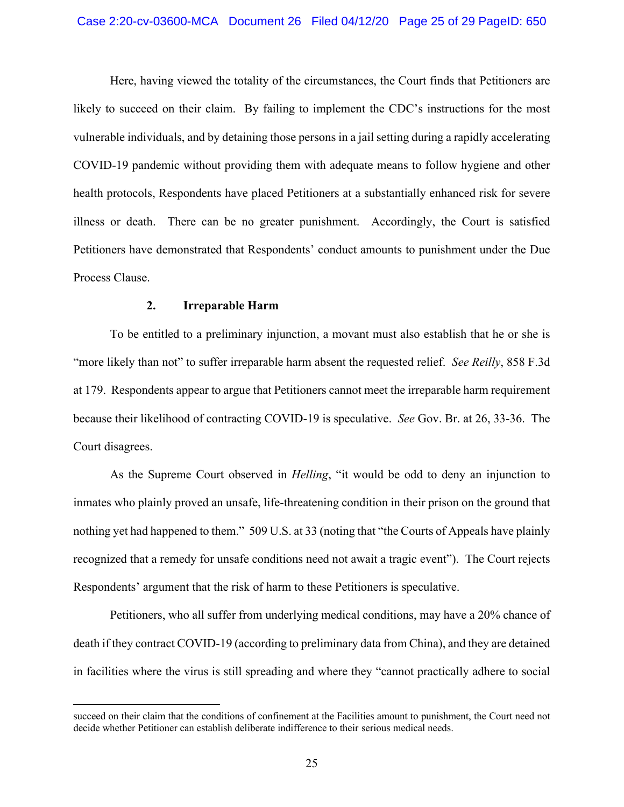#### Case 2:20-cv-03600-MCA Document 26 Filed 04/12/20 Page 25 of 29 PageID: 650

Here, having viewed the totality of the circumstances, the Court finds that Petitioners are likely to succeed on their claim. By failing to implement the CDC's instructions for the most vulnerable individuals, and by detaining those persons in a jail setting during a rapidly accelerating COVID-19 pandemic without providing them with adequate means to follow hygiene and other health protocols, Respondents have placed Petitioners at a substantially enhanced risk for severe illness or death. There can be no greater punishment. Accordingly, the Court is satisfied Petitioners have demonstrated that Respondents' conduct amounts to punishment under the Due Process Clause.

## **2. Irreparable Harm**

 $\overline{a}$ 

To be entitled to a preliminary injunction, a movant must also establish that he or she is "more likely than not" to suffer irreparable harm absent the requested relief. *See Reilly*, 858 F.3d at 179. Respondents appear to argue that Petitioners cannot meet the irreparable harm requirement because their likelihood of contracting COVID-19 is speculative. *See* Gov. Br. at 26, 33-36. The Court disagrees.

As the Supreme Court observed in *Helling*, "it would be odd to deny an injunction to inmates who plainly proved an unsafe, life-threatening condition in their prison on the ground that nothing yet had happened to them." 509 U.S. at 33 (noting that "the Courts of Appeals have plainly recognized that a remedy for unsafe conditions need not await a tragic event"). The Court rejects Respondents' argument that the risk of harm to these Petitioners is speculative.

Petitioners, who all suffer from underlying medical conditions, may have a 20% chance of death if they contract COVID-19 (according to preliminary data from China), and they are detained in facilities where the virus is still spreading and where they "cannot practically adhere to social

succeed on their claim that the conditions of confinement at the Facilities amount to punishment, the Court need not decide whether Petitioner can establish deliberate indifference to their serious medical needs.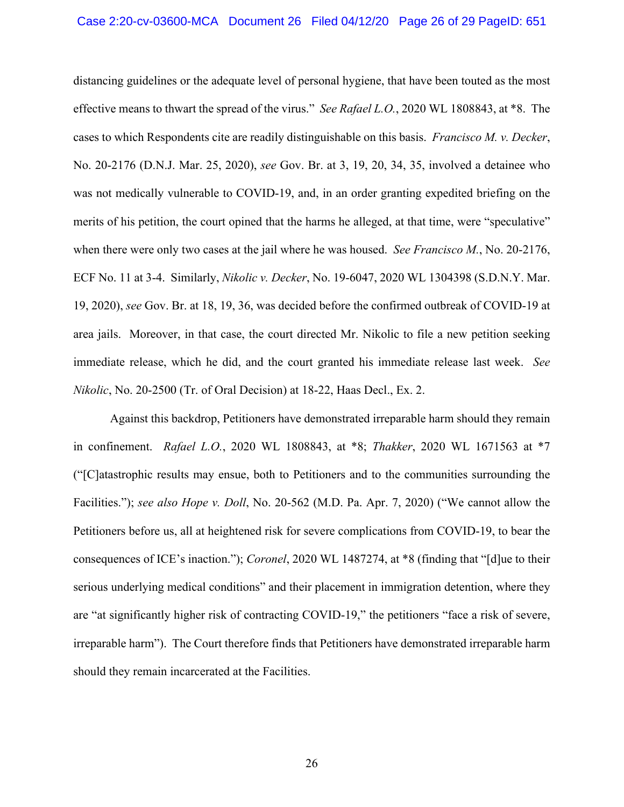#### Case 2:20-cv-03600-MCA Document 26 Filed 04/12/20 Page 26 of 29 PageID: 651

distancing guidelines or the adequate level of personal hygiene, that have been touted as the most effective means to thwart the spread of the virus." *See Rafael L.O.*, 2020 WL 1808843, at \*8. The cases to which Respondents cite are readily distinguishable on this basis. *Francisco M. v. Decker*, No. 20-2176 (D.N.J. Mar. 25, 2020), *see* Gov. Br. at 3, 19, 20, 34, 35, involved a detainee who was not medically vulnerable to COVID-19, and, in an order granting expedited briefing on the merits of his petition, the court opined that the harms he alleged, at that time, were "speculative" when there were only two cases at the jail where he was housed. *See Francisco M.*, No. 20-2176, ECF No. 11 at 3-4. Similarly, *Nikolic v. Decker*, No. 19-6047, 2020 WL 1304398 (S.D.N.Y. Mar. 19, 2020), *see* Gov. Br. at 18, 19, 36, was decided before the confirmed outbreak of COVID-19 at area jails. Moreover, in that case, the court directed Mr. Nikolic to file a new petition seeking immediate release, which he did, and the court granted his immediate release last week. *See Nikolic*, No. 20-2500 (Tr. of Oral Decision) at 18-22, Haas Decl., Ex. 2.

Against this backdrop, Petitioners have demonstrated irreparable harm should they remain in confinement. *Rafael L.O.*, 2020 WL 1808843, at \*8; *Thakker*, 2020 WL 1671563 at \*7 ("[C]atastrophic results may ensue, both to Petitioners and to the communities surrounding the Facilities."); *see also Hope v. Doll*, No. 20-562 (M.D. Pa. Apr. 7, 2020) ("We cannot allow the Petitioners before us, all at heightened risk for severe complications from COVID-19, to bear the consequences of ICE's inaction."); *Coronel*, 2020 WL 1487274, at \*8 (finding that "[d]ue to their serious underlying medical conditions" and their placement in immigration detention, where they are "at significantly higher risk of contracting COVID-19," the petitioners "face a risk of severe, irreparable harm").The Court therefore finds that Petitioners have demonstrated irreparable harm should they remain incarcerated at the Facilities.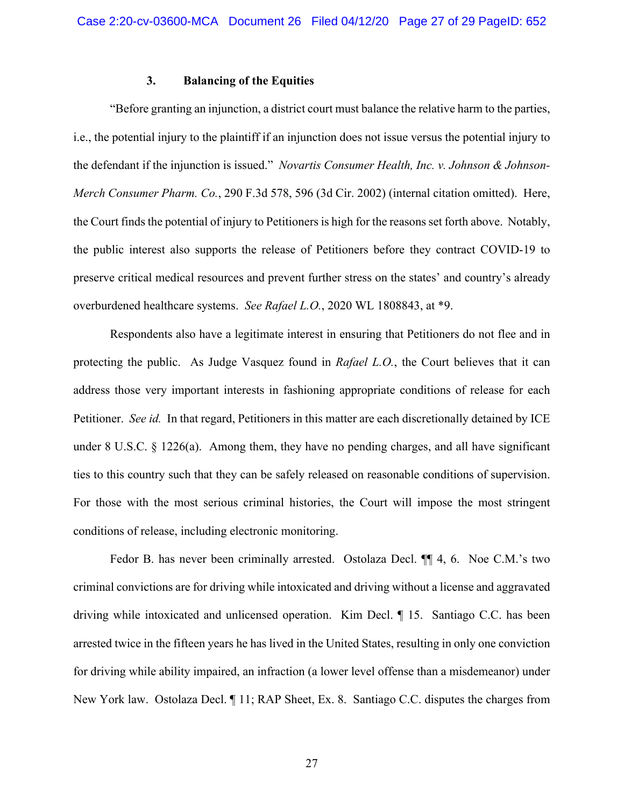## **3. Balancing of the Equities**

"Before granting an injunction, a district court must balance the relative harm to the parties, i.e., the potential injury to the plaintiff if an injunction does not issue versus the potential injury to the defendant if the injunction is issued." *Novartis Consumer Health, Inc. v. Johnson & Johnson-Merch Consumer Pharm. Co.*, 290 F.3d 578, 596 (3d Cir. 2002) (internal citation omitted). Here, the Court finds the potential of injury to Petitioners is high for the reasons set forth above. Notably, the public interest also supports the release of Petitioners before they contract COVID-19 to preserve critical medical resources and prevent further stress on the states' and country's already overburdened healthcare systems. *See Rafael L.O.*, 2020 WL 1808843, at \*9.

Respondents also have a legitimate interest in ensuring that Petitioners do not flee and in protecting the public. As Judge Vasquez found in *Rafael L.O.*, the Court believes that it can address those very important interests in fashioning appropriate conditions of release for each Petitioner. *See id.* In that regard, Petitioners in this matter are each discretionally detained by ICE under 8 U.S.C.  $\S$  1226(a). Among them, they have no pending charges, and all have significant ties to this country such that they can be safely released on reasonable conditions of supervision. For those with the most serious criminal histories, the Court will impose the most stringent conditions of release, including electronic monitoring.

Fedor B. has never been criminally arrested. Ostolaza Decl. ¶¶ 4, 6. Noe C.M.'s two criminal convictions are for driving while intoxicated and driving without a license and aggravated driving while intoxicated and unlicensed operation. Kim Decl. ¶ 15. Santiago C.C. has been arrested twice in the fifteen years he has lived in the United States, resulting in only one conviction for driving while ability impaired, an infraction (a lower level offense than a misdemeanor) under New York law. Ostolaza Decl. ¶ 11; RAP Sheet, Ex. 8. Santiago C.C. disputes the charges from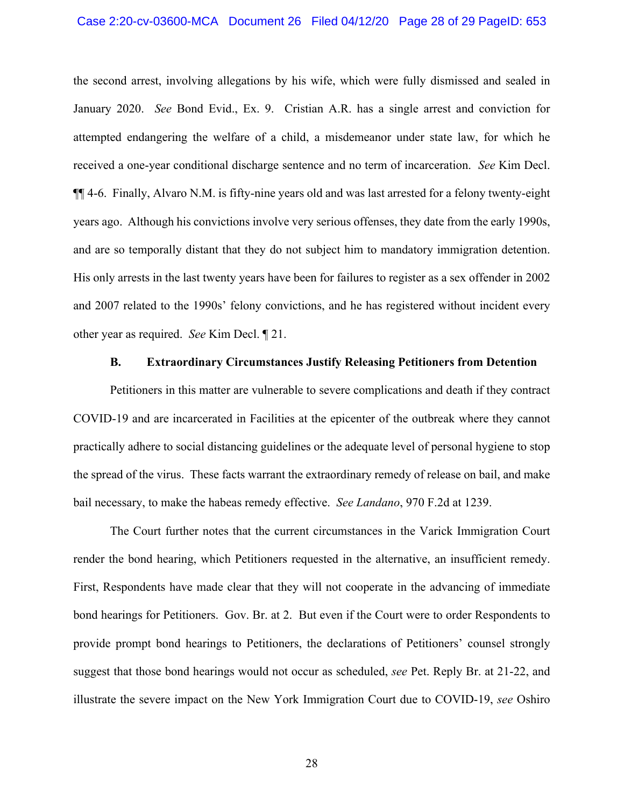#### Case 2:20-cv-03600-MCA Document 26 Filed 04/12/20 Page 28 of 29 PageID: 653

the second arrest, involving allegations by his wife, which were fully dismissed and sealed in January 2020. *See* Bond Evid., Ex. 9. Cristian A.R. has a single arrest and conviction for attempted endangering the welfare of a child, a misdemeanor under state law, for which he received a one-year conditional discharge sentence and no term of incarceration. *See* Kim Decl. ¶¶ 4-6. Finally, Alvaro N.M. is fifty-nine years old and was last arrested for a felony twenty-eight years ago. Although his convictions involve very serious offenses, they date from the early 1990s, and are so temporally distant that they do not subject him to mandatory immigration detention. His only arrests in the last twenty years have been for failures to register as a sex offender in 2002 and 2007 related to the 1990s' felony convictions, and he has registered without incident every other year as required. *See* Kim Decl. ¶ 21.

#### **B. Extraordinary Circumstances Justify Releasing Petitioners from Detention**

Petitioners in this matter are vulnerable to severe complications and death if they contract COVID-19 and are incarcerated in Facilities at the epicenter of the outbreak where they cannot practically adhere to social distancing guidelines or the adequate level of personal hygiene to stop the spread of the virus. These facts warrant the extraordinary remedy of release on bail, and make bail necessary, to make the habeas remedy effective. *See Landano*, 970 F.2d at 1239.

The Court further notes that the current circumstances in the Varick Immigration Court render the bond hearing, which Petitioners requested in the alternative, an insufficient remedy. First, Respondents have made clear that they will not cooperate in the advancing of immediate bond hearings for Petitioners. Gov. Br. at 2. But even if the Court were to order Respondents to provide prompt bond hearings to Petitioners, the declarations of Petitioners' counsel strongly suggest that those bond hearings would not occur as scheduled, *see* Pet. Reply Br. at 21-22, and illustrate the severe impact on the New York Immigration Court due to COVID-19, *see* Oshiro